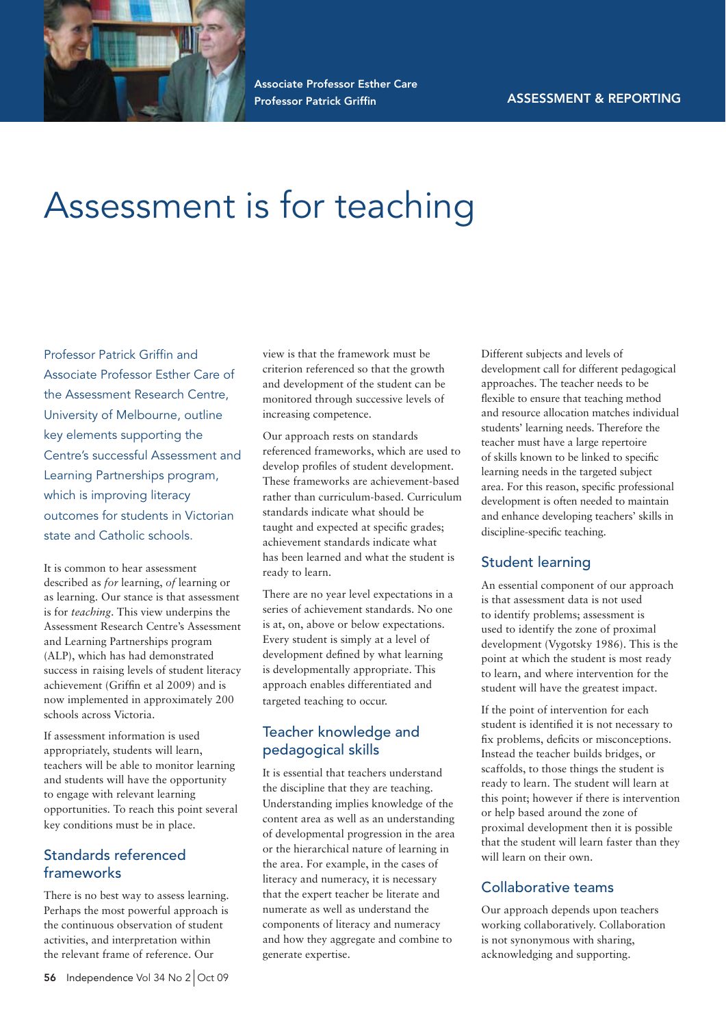

Associate Professor Esther Care Professor Patrick Griffin

# Assessment is for teaching

Professor Patrick Griffin and Associate Professor Esther Care of the Assessment Research Centre, University of Melbourne, outline key elements supporting the Centre's successful Assessment and Learning Partnerships program, which is improving literacy outcomes for students in Victorian state and Catholic schools.

It is common to hear assessment described as *for* learning, *of* learning or as learning. Our stance is that assessment is for *teaching*. This view underpins the Assessment Research Centre's Assessment and Learning Partnerships program (ALP), which has had demonstrated success in raising levels of student literacy achievement (Griffin et al 2009) and is now implemented in approximately 200 schools across Victoria.

If assessment information is used appropriately, students will learn, teachers will be able to monitor learning and students will have the opportunity to engage with relevant learning opportunities. To reach this point several key conditions must be in place.

## Standards referenced frameworks

There is no best way to assess learning. Perhaps the most powerful approach is the continuous observation of student activities, and interpretation within the relevant frame of reference. Our

view is that the framework must be criterion referenced so that the growth and development of the student can be monitored through successive levels of increasing competence.

Our approach rests on standards referenced frameworks, which are used to develop profiles of student development. These frameworks are achievement-based rather than curriculum-based. Curriculum standards indicate what should be taught and expected at specific grades; achievement standards indicate what has been learned and what the student is ready to learn.

There are no year level expectations in a series of achievement standards. No one is at, on, above or below expectations. Every student is simply at a level of development defined by what learning is developmentally appropriate. This approach enables differentiated and targeted teaching to occur.

## Teacher knowledge and pedagogical skills

It is essential that teachers understand the discipline that they are teaching. Understanding implies knowledge of the content area as well as an understanding of developmental progression in the area or the hierarchical nature of learning in the area. For example, in the cases of literacy and numeracy, it is necessary that the expert teacher be literate and numerate as well as understand the components of literacy and numeracy and how they aggregate and combine to generate expertise.

Different subjects and levels of development call for different pedagogical approaches. The teacher needs to be flexible to ensure that teaching method and resource allocation matches individual students' learning needs. Therefore the teacher must have a large repertoire of skills known to be linked to specific learning needs in the targeted subject area. For this reason, specific professional development is often needed to maintain and enhance developing teachers' skills in discipline-specific teaching.

#### Student learning

An essential component of our approach is that assessment data is not used to identify problems; assessment is used to identify the zone of proximal development (Vygotsky 1986). This is the point at which the student is most ready to learn, and where intervention for the student will have the greatest impact.

If the point of intervention for each student is identified it is not necessary to fix problems, deficits or misconceptions. Instead the teacher builds bridges, or scaffolds, to those things the student is ready to learn. The student will learn at this point; however if there is intervention or help based around the zone of proximal development then it is possible that the student will learn faster than they will learn on their own.

## Collaborative teams

Our approach depends upon teachers working collaboratively. Collaboration is not synonymous with sharing, acknowledging and supporting.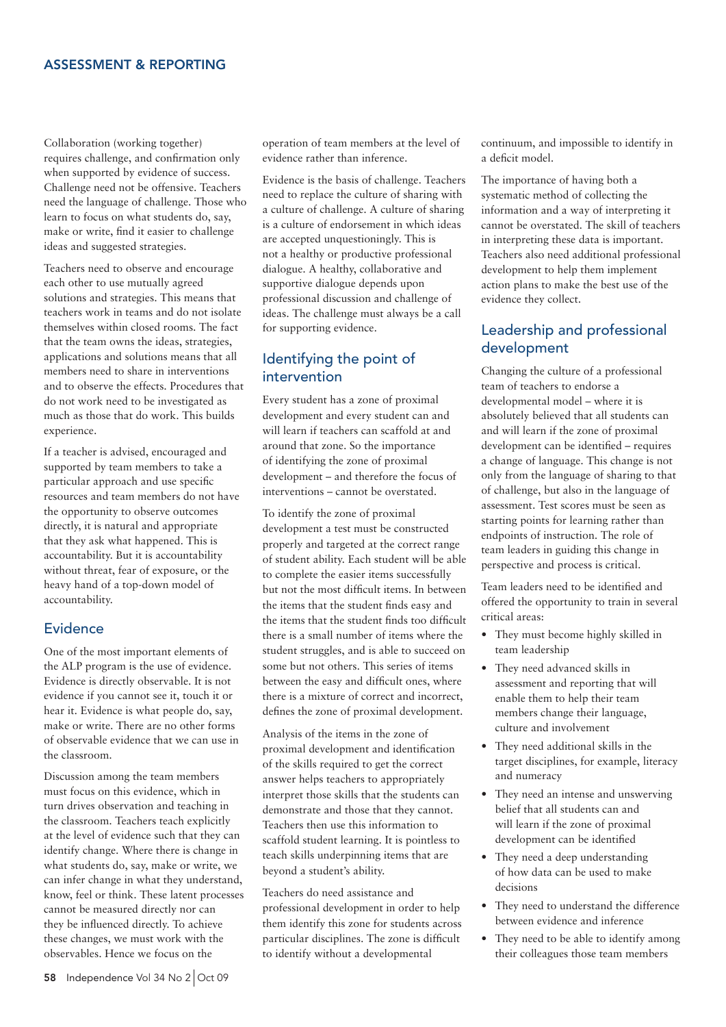#### ASSESSMENT & REPORTING

Collaboration (working together) requires challenge, and confirmation only when supported by evidence of success. Challenge need not be offensive. Teachers need the language of challenge. Those who learn to focus on what students do, say, make or write, find it easier to challenge ideas and suggested strategies.

Teachers need to observe and encourage each other to use mutually agreed solutions and strategies. This means that teachers work in teams and do not isolate themselves within closed rooms. The fact that the team owns the ideas, strategies, applications and solutions means that all members need to share in interventions and to observe the effects. Procedures that do not work need to be investigated as much as those that do work. This builds experience.

If a teacher is advised, encouraged and supported by team members to take a particular approach and use specific resources and team members do not have the opportunity to observe outcomes directly, it is natural and appropriate that they ask what happened. This is accountability. But it is accountability without threat, fear of exposure, or the heavy hand of a top-down model of accountability.

#### Evidence

One of the most important elements of the ALP program is the use of evidence. Evidence is directly observable. It is not evidence if you cannot see it, touch it or hear it. Evidence is what people do, say, make or write. There are no other forms of observable evidence that we can use in the classroom.

Discussion among the team members must focus on this evidence, which in turn drives observation and teaching in the classroom. Teachers teach explicitly at the level of evidence such that they can identify change. Where there is change in what students do, say, make or write, we can infer change in what they understand, know, feel or think. These latent processes cannot be measured directly nor can they be influenced directly. To achieve these changes, we must work with the observables. Hence we focus on the

operation of team members at the level of evidence rather than inference.

Evidence is the basis of challenge. Teachers need to replace the culture of sharing with a culture of challenge. A culture of sharing is a culture of endorsement in which ideas are accepted unquestioningly. This is not a healthy or productive professional dialogue. A healthy, collaborative and supportive dialogue depends upon professional discussion and challenge of ideas. The challenge must always be a call for supporting evidence.

## Identifying the point of intervention

Every student has a zone of proximal development and every student can and will learn if teachers can scaffold at and around that zone. So the importance of identifying the zone of proximal development – and therefore the focus of interventions – cannot be overstated.

To identify the zone of proximal development a test must be constructed properly and targeted at the correct range of student ability. Each student will be able to complete the easier items successfully but not the most difficult items. In between the items that the student finds easy and the items that the student finds too difficult there is a small number of items where the student struggles, and is able to succeed on some but not others. This series of items between the easy and difficult ones, where there is a mixture of correct and incorrect, defines the zone of proximal development.

Analysis of the items in the zone of proximal development and identification of the skills required to get the correct answer helps teachers to appropriately interpret those skills that the students can demonstrate and those that they cannot. Teachers then use this information to scaffold student learning. It is pointless to teach skills underpinning items that are beyond a student's ability.

Teachers do need assistance and professional development in order to help them identify this zone for students across particular disciplines. The zone is difficult to identify without a developmental

continuum, and impossible to identify in a deficit model.

The importance of having both a systematic method of collecting the information and a way of interpreting it cannot be overstated. The skill of teachers in interpreting these data is important. Teachers also need additional professional development to help them implement action plans to make the best use of the evidence they collect.

## Leadership and professional development

Changing the culture of a professional team of teachers to endorse a developmental model – where it is absolutely believed that all students can and will learn if the zone of proximal development can be identified – requires a change of language. This change is not only from the language of sharing to that of challenge, but also in the language of assessment. Test scores must be seen as starting points for learning rather than endpoints of instruction. The role of team leaders in guiding this change in perspective and process is critical.

Team leaders need to be identified and offered the opportunity to train in several critical areas:

- They must become highly skilled in team leadership
- They need advanced skills in assessment and reporting that will enable them to help their team members change their language, culture and involvement
- They need additional skills in the target disciplines, for example, literacy and numeracy
- They need an intense and unswerving belief that all students can and will learn if the zone of proximal development can be identified
- $\bullet$  They need a deep understanding of how data can be used to make decisions
- They need to understand the difference between evidence and inference
- They need to be able to identify among their colleagues those team members